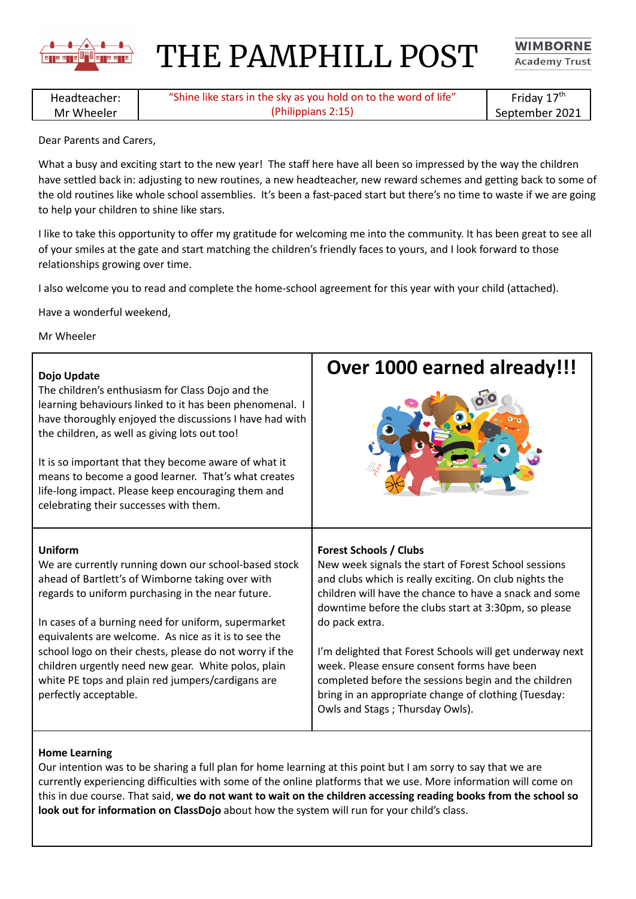

THE PAMPHILL POST

**WIMBORNE Academy Trust** 

Headteacher: Mr Wheeler "Shine like stars in the sky as you hold on to the word of life" (Philippians 2:15)

Friday 17<sup>th</sup> September 2021

Dear Parents and Carers,

What a busy and exciting start to the new year! The staff here have all been so impressed by the way the children have settled back in: adjusting to new routines, a new headteacher, new reward schemes and getting back to some of the old routines like whole school assemblies. It's been a fast-paced start but there's no time to waste if we are going to help your children to shine like stars.

I like to take this opportunity to offer my gratitude for welcoming me into the community. It has been great to see all of your smiles at the gate and start matching the children's friendly faces to yours, and I look forward to those relationships growing over time.

I also welcome you to read and complete the home-school agreement for this year with your child (attached).

Have a wonderful weekend,

Mr Wheeler

## **Dojo Update** The children's enthusiasm for Class Dojo and the learning behaviours linked to it has been phenomenal. I have thoroughly enjoyed the discussions I have had with the children, as well as giving lots out too! It is so important that they become aware of what it means to become a good learner. That's what creates life-long impact. Please keep encouraging them and celebrating their successes with them. **Over 1000 earned already!!! Uniform** We are currently running down our school-based stock ahead of Bartlett's of Wimborne taking over with regards to uniform purchasing in the near future. In cases of a burning need for uniform, supermarket equivalents are welcome. As nice as it is to see the school logo on their chests, please do not worry if the children urgently need new gear. White polos, plain white PE tops and plain red jumpers/cardigans are perfectly acceptable. **Forest Schools / Clubs** New week signals the start of Forest School sessions and clubs which is really exciting. On club nights the children will have the chance to have a snack and some downtime before the clubs start at 3:30pm, so please do pack extra. I'm delighted that Forest Schools will get underway next week. Please ensure consent forms have been completed before the sessions begin and the children bring in an appropriate change of clothing (Tuesday: Owls and Stags ; Thursday Owls).

## **Home Learning**

Our intention was to be sharing a full plan for home learning at this point but I am sorry to say that we are currently experiencing difficulties with some of the online platforms that we use. More information will come on this in due course. That said, **we do not want to wait on the children accessing reading books from the school so look out for information on ClassDojo** about how the system will run for your child's class.